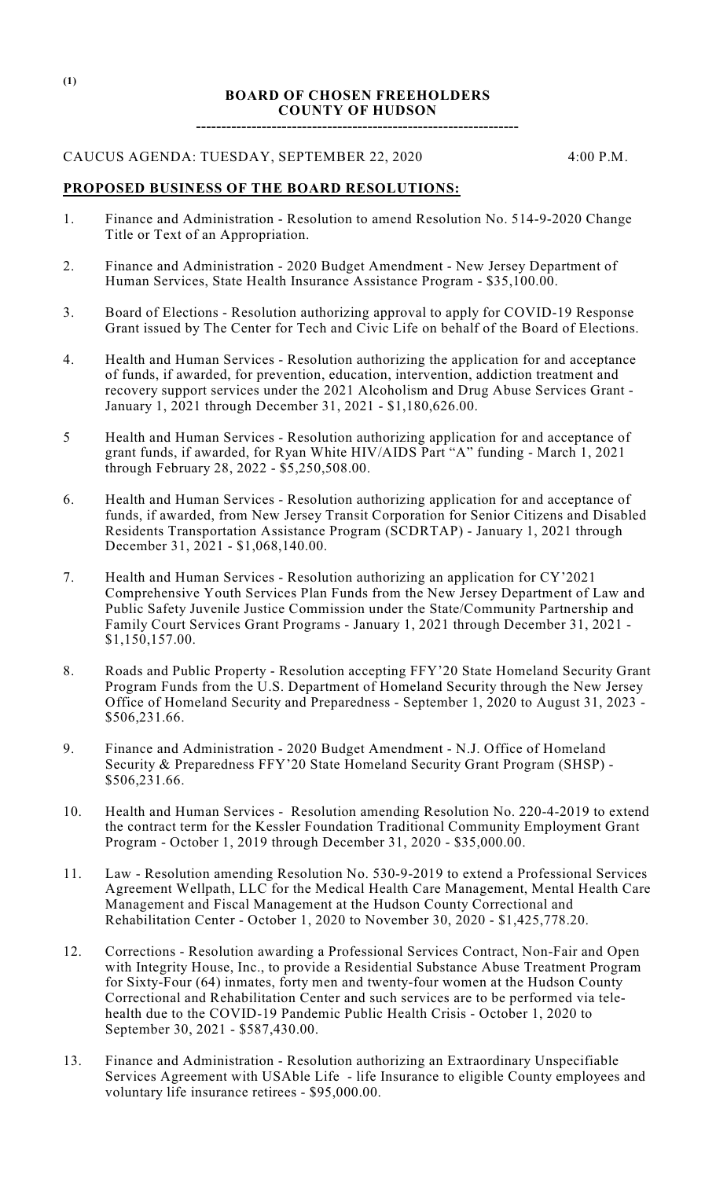# **BOARD OF CHOSEN FREEHOLDERS COUNTY OF HUDSON**

**----------------------------------------------------------------**

## CAUCUS AGENDA: TUESDAY, SEPTEMBER 22, 2020 4:00 P.M.

# **PROPOSED BUSINESS OF THE BOARD RESOLUTIONS:**

- 1. Finance and Administration Resolution to amend Resolution No. 514-9-2020 Change Title or Text of an Appropriation.
- 2. Finance and Administration 2020 Budget Amendment New Jersey Department of Human Services, State Health Insurance Assistance Program - \$35,100.00.
- 3. Board of Elections Resolution authorizing approval to apply for COVID-19 Response Grant issued by The Center for Tech and Civic Life on behalf of the Board of Elections.
- 4. Health and Human Services Resolution authorizing the application for and acceptance of funds, if awarded, for prevention, education, intervention, addiction treatment and recovery support services under the 2021 Alcoholism and Drug Abuse Services Grant - January 1, 2021 through December 31, 2021 - \$1,180,626.00.
- 5 Health and Human Services Resolution authorizing application for and acceptance of grant funds, if awarded, for Ryan White HIV/AIDS Part "A" funding - March 1, 2021 through February 28, 2022 - \$5,250,508.00.
- 6. Health and Human Services Resolution authorizing application for and acceptance of funds, if awarded, from New Jersey Transit Corporation for Senior Citizens and Disabled Residents Transportation Assistance Program (SCDRTAP) - January 1, 2021 through December 31, 2021 - \$1,068,140.00.
- 7. Health and Human Services Resolution authorizing an application for CY'2021 Comprehensive Youth Services Plan Funds from the New Jersey Department of Law and Public Safety Juvenile Justice Commission under the State/Community Partnership and Family Court Services Grant Programs - January 1, 2021 through December 31, 2021 - \$1,150,157.00.
- 8. Roads and Public Property Resolution accepting FFY'20 State Homeland Security Grant Program Funds from the U.S. Department of Homeland Security through the New Jersey Office of Homeland Security and Preparedness - September 1, 2020 to August 31, 2023 - \$506,231.66.
- 9. Finance and Administration 2020 Budget Amendment N.J. Office of Homeland Security & Preparedness FFY'20 State Homeland Security Grant Program (SHSP) - \$506,231.66.
- 10. Health and Human Services Resolution amending Resolution No. 220-4-2019 to extend the contract term for the Kessler Foundation Traditional Community Employment Grant Program - October 1, 2019 through December 31, 2020 - \$35,000.00.
- 11. Law Resolution amending Resolution No. 530-9-2019 to extend a Professional Services Agreement Wellpath, LLC for the Medical Health Care Management, Mental Health Care Management and Fiscal Management at the Hudson County Correctional and Rehabilitation Center - October 1, 2020 to November 30, 2020 - \$1,425,778.20.
- 12. Corrections Resolution awarding a Professional Services Contract, Non-Fair and Open with Integrity House, Inc., to provide a Residential Substance Abuse Treatment Program for Sixty-Four (64) inmates, forty men and twenty-four women at the Hudson County Correctional and Rehabilitation Center and such services are to be performed via telehealth due to the COVID-19 Pandemic Public Health Crisis - October 1, 2020 to September 30, 2021 - \$587,430.00.
- 13. Finance and Administration Resolution authorizing an Extraordinary Unspecifiable Services Agreement with USAble Life - life Insurance to eligible County employees and voluntary life insurance retirees - \$95,000.00.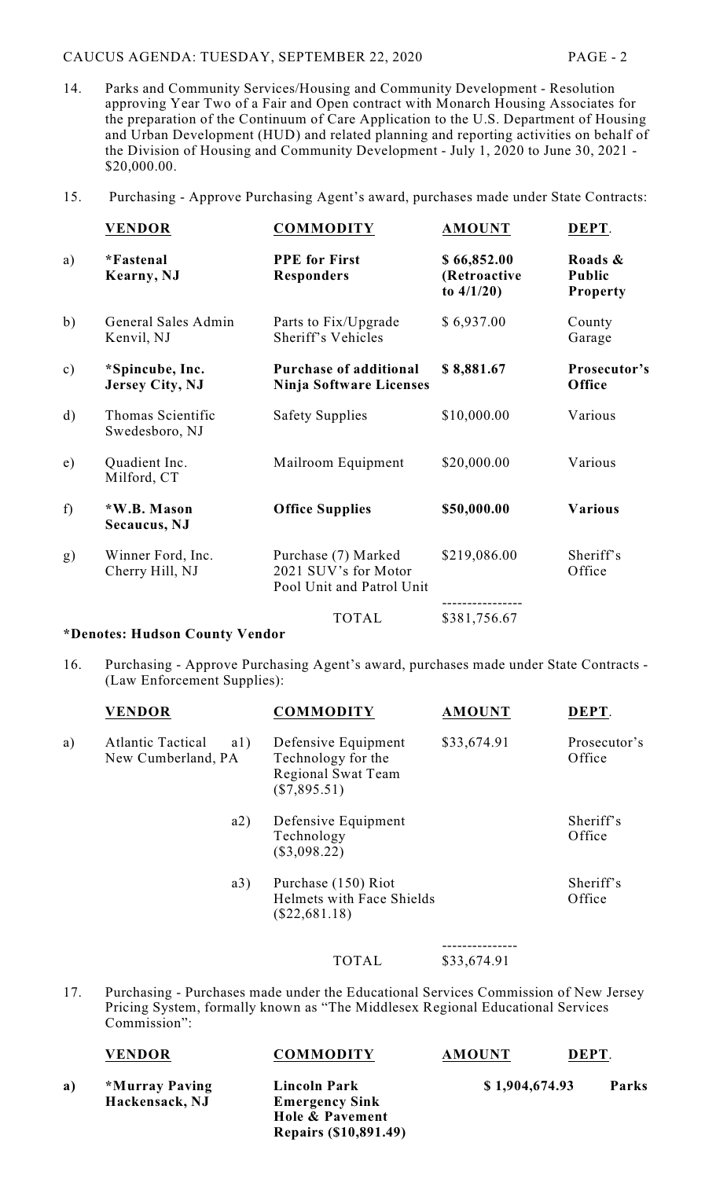# CAUCUS AGENDA: TUESDAY, SEPTEMBER 22, 2020 PAGE - 2

- 14. Parks and Community Services/Housing and Community Development Resolution approving Year Two of a Fair and Open contract with Monarch Housing Associates for the preparation of the Continuum of Care Application to the U.S. Department of Housing and Urban Development (HUD) and related planning and reporting activities on behalf of the Division of Housing and Community Development - July 1, 2020 to June 30, 2021 - \$20,000.00.
- 15. Purchasing Approve Purchasing Agent's award, purchases made under State Contracts:

|               | <b>VENDOR</b>                             | <b>COMMODITY</b>                                                         | <b>AMOUNT</b>                                | DEPT.                                |
|---------------|-------------------------------------------|--------------------------------------------------------------------------|----------------------------------------------|--------------------------------------|
| a)            | *Fastenal<br>Kearny, NJ                   | <b>PPE</b> for First<br><b>Responders</b>                                | \$66,852.00<br>(Retroactive<br>to $4/1/20$ ) | Roads &<br>Public<br><b>Property</b> |
| b)            | General Sales Admin<br>Kenvil, NJ         | Parts to Fix/Upgrade<br>Sheriff's Vehicles                               | \$6,937.00                                   | County<br>Garage                     |
| $\mathbf{c})$ | *Spincube, Inc.<br><b>Jersey City, NJ</b> | <b>Purchase of additional</b><br>Ninja Software Licenses                 | \$8,881.67                                   | Prosecutor's<br>Office               |
| $\mathbf{d}$  | Thomas Scientific<br>Swedesboro, NJ       | <b>Safety Supplies</b>                                                   | \$10,000.00                                  | Various                              |
| e)            | Quadient Inc.<br>Milford, CT              | Mailroom Equipment                                                       | \$20,000.00                                  | Various                              |
| f             | *W.B. Mason<br>Secaucus, NJ               | <b>Office Supplies</b>                                                   | \$50,000.00                                  | <b>Various</b>                       |
| g)            | Winner Ford, Inc.<br>Cherry Hill, NJ      | Purchase (7) Marked<br>2021 SUV's for Motor<br>Pool Unit and Patrol Unit | \$219,086.00                                 | Sheriff's<br>Office                  |
|               |                                           | <b>TOTAL</b>                                                             | \$381,756.67                                 |                                      |
|               |                                           |                                                                          |                                              |                                      |

## **\*Denotes: Hudson County Vendor**

16. Purchasing - Approve Purchasing Agent's award, purchases made under State Contracts - (Law Enforcement Supplies):

|    | <b>VENDOR</b>                                         | <b>COMMODITY</b>                                                                    | <b>AMOUNT</b> | DEPT.                  |
|----|-------------------------------------------------------|-------------------------------------------------------------------------------------|---------------|------------------------|
| a) | <b>Atlantic Tactical</b><br>a1)<br>New Cumberland, PA | Defensive Equipment<br>Technology for the<br>Regional Swat Team<br>$(\$7,895.51)$   | \$33,674.91   | Prosecutor's<br>Office |
|    | a2)                                                   | Defensive Equipment<br>Technology<br>$(\$3,098.22)$                                 |               | Sheriff's<br>Office    |
|    | a3)                                                   | Purchase (150) Riot<br>Helmets with Face Shields<br>$(\$22,681.18)$                 |               | Sheriff's<br>Office    |
|    |                                                       |                                                                                     |               |                        |
|    |                                                       | TOTAL                                                                               | \$33,674.91   |                        |
|    |                                                       | Purchasing - Purchases made under the Educational Services Commission of New Jersey |               |                        |

17. Purchasing - Purchases made under the Educational Services Commission of New Jersey Pricing System, formally known as "The Middlesex Regional Educational Services Commission":

|    | <b>VENDOR</b>  | <b>COMMODITY</b>             | <b>AMOUNT</b>  | DEPT. |              |
|----|----------------|------------------------------|----------------|-------|--------------|
| a) | *Murray Paving | <b>Lincoln Park</b>          | \$1,904,674.93 |       | <b>Parks</b> |
|    | Hackensack, NJ | <b>Emergency Sink</b>        |                |       |              |
|    |                | Hole & Pavement              |                |       |              |
|    |                | <b>Repairs (\$10,891.49)</b> |                |       |              |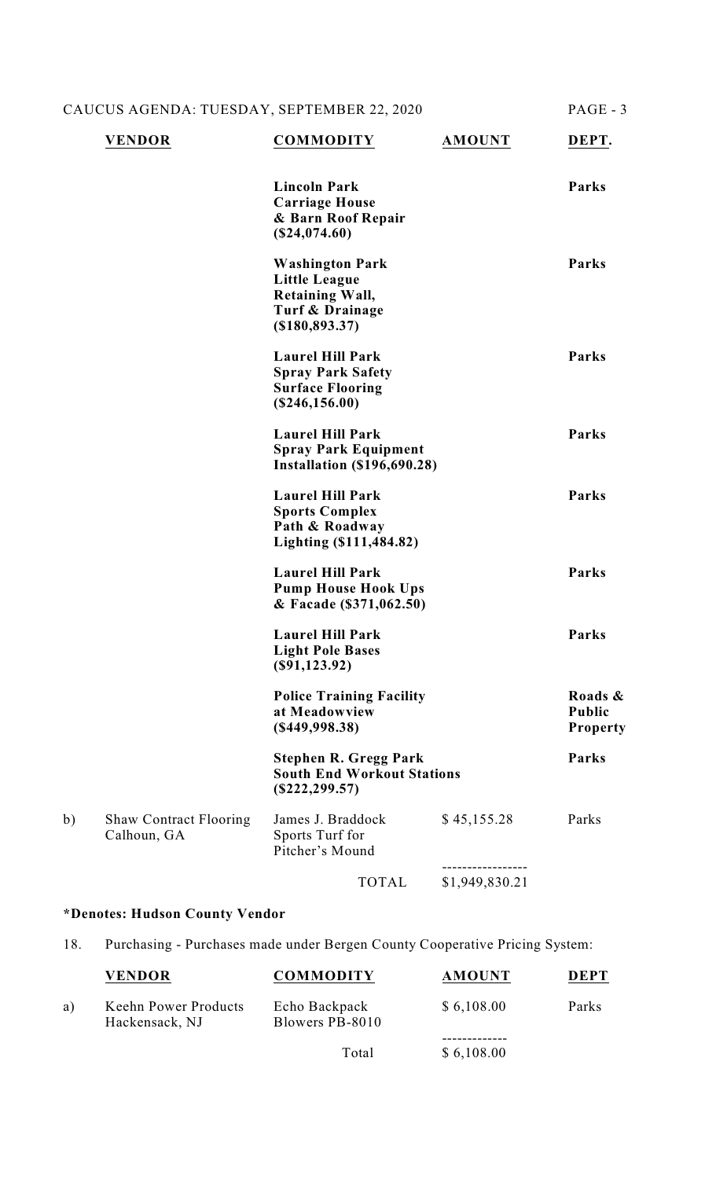CAUCUS AGENDA: TUESDAY, SEPTEMBER 22, 2020 PAGE - 3

| <b>Lincoln Park</b><br>Parks<br><b>Carriage House</b><br>& Barn Roof Repair<br>(\$24,074.60)<br>Parks<br><b>Washington Park</b><br><b>Little League</b><br><b>Retaining Wall,</b><br>Turf & Drainage<br>$($ \$180,893.37)<br><b>Laurel Hill Park</b><br>Parks<br><b>Spray Park Safety</b><br><b>Surface Flooring</b><br>(\$246,156.00)<br><b>Laurel Hill Park</b><br>Parks<br><b>Spray Park Equipment</b><br><b>Installation (\$196,690.28)</b><br><b>Laurel Hill Park</b><br>Parks<br><b>Sports Complex</b><br>Path & Roadway<br>Lighting (\$111,484.82)<br><b>Laurel Hill Park</b><br>Parks<br><b>Pump House Hook Ups</b><br>& Facade (\$371,062.50)<br><b>Laurel Hill Park</b><br>Parks<br><b>Light Pole Bases</b><br>$(\$91,123.92)$<br><b>Police Training Facility</b><br>at Meadowview<br><b>Public</b><br>$($ \$449,998.38)<br><b>Stephen R. Gregg Park</b><br>Parks<br><b>South End Workout Stations</b><br>$(\$222, 299.57)$<br>b)<br>James J. Braddock<br>\$45,155.28<br><b>Shaw Contract Flooring</b><br>Parks<br>Calhoun, GA<br>Sports Turf for<br>Pitcher's Mound<br>\$1,949,830.21<br><b>TOTAL</b> | <b>VENDOR</b> | <b>COMMODITY</b> | <b>AMOUNT</b> | DEPT.               |
|------------------------------------------------------------------------------------------------------------------------------------------------------------------------------------------------------------------------------------------------------------------------------------------------------------------------------------------------------------------------------------------------------------------------------------------------------------------------------------------------------------------------------------------------------------------------------------------------------------------------------------------------------------------------------------------------------------------------------------------------------------------------------------------------------------------------------------------------------------------------------------------------------------------------------------------------------------------------------------------------------------------------------------------------------------------------------------------------------------------|---------------|------------------|---------------|---------------------|
|                                                                                                                                                                                                                                                                                                                                                                                                                                                                                                                                                                                                                                                                                                                                                                                                                                                                                                                                                                                                                                                                                                                  |               |                  |               |                     |
|                                                                                                                                                                                                                                                                                                                                                                                                                                                                                                                                                                                                                                                                                                                                                                                                                                                                                                                                                                                                                                                                                                                  |               |                  |               |                     |
|                                                                                                                                                                                                                                                                                                                                                                                                                                                                                                                                                                                                                                                                                                                                                                                                                                                                                                                                                                                                                                                                                                                  |               |                  |               |                     |
|                                                                                                                                                                                                                                                                                                                                                                                                                                                                                                                                                                                                                                                                                                                                                                                                                                                                                                                                                                                                                                                                                                                  |               |                  |               |                     |
|                                                                                                                                                                                                                                                                                                                                                                                                                                                                                                                                                                                                                                                                                                                                                                                                                                                                                                                                                                                                                                                                                                                  |               |                  |               |                     |
|                                                                                                                                                                                                                                                                                                                                                                                                                                                                                                                                                                                                                                                                                                                                                                                                                                                                                                                                                                                                                                                                                                                  |               |                  |               |                     |
|                                                                                                                                                                                                                                                                                                                                                                                                                                                                                                                                                                                                                                                                                                                                                                                                                                                                                                                                                                                                                                                                                                                  |               |                  |               |                     |
|                                                                                                                                                                                                                                                                                                                                                                                                                                                                                                                                                                                                                                                                                                                                                                                                                                                                                                                                                                                                                                                                                                                  |               |                  |               | Roads &<br>Property |
|                                                                                                                                                                                                                                                                                                                                                                                                                                                                                                                                                                                                                                                                                                                                                                                                                                                                                                                                                                                                                                                                                                                  |               |                  |               |                     |
|                                                                                                                                                                                                                                                                                                                                                                                                                                                                                                                                                                                                                                                                                                                                                                                                                                                                                                                                                                                                                                                                                                                  |               |                  |               |                     |
|                                                                                                                                                                                                                                                                                                                                                                                                                                                                                                                                                                                                                                                                                                                                                                                                                                                                                                                                                                                                                                                                                                                  |               |                  |               |                     |

# **\*Denotes: Hudson County Vendor**

18. Purchasing - Purchases made under Bergen County Cooperative Pricing System:

|    | <b>VENDOR</b>                          | <b>COMMODITY</b>                 | <b>AMOUNT</b> | <b>DEPT</b> |
|----|----------------------------------------|----------------------------------|---------------|-------------|
| a) | Keehn Power Products<br>Hackensack, NJ | Echo Backpack<br>Blowers PB-8010 | \$6,108.00    | Parks       |
|    |                                        | Total                            | \$6,108.00    |             |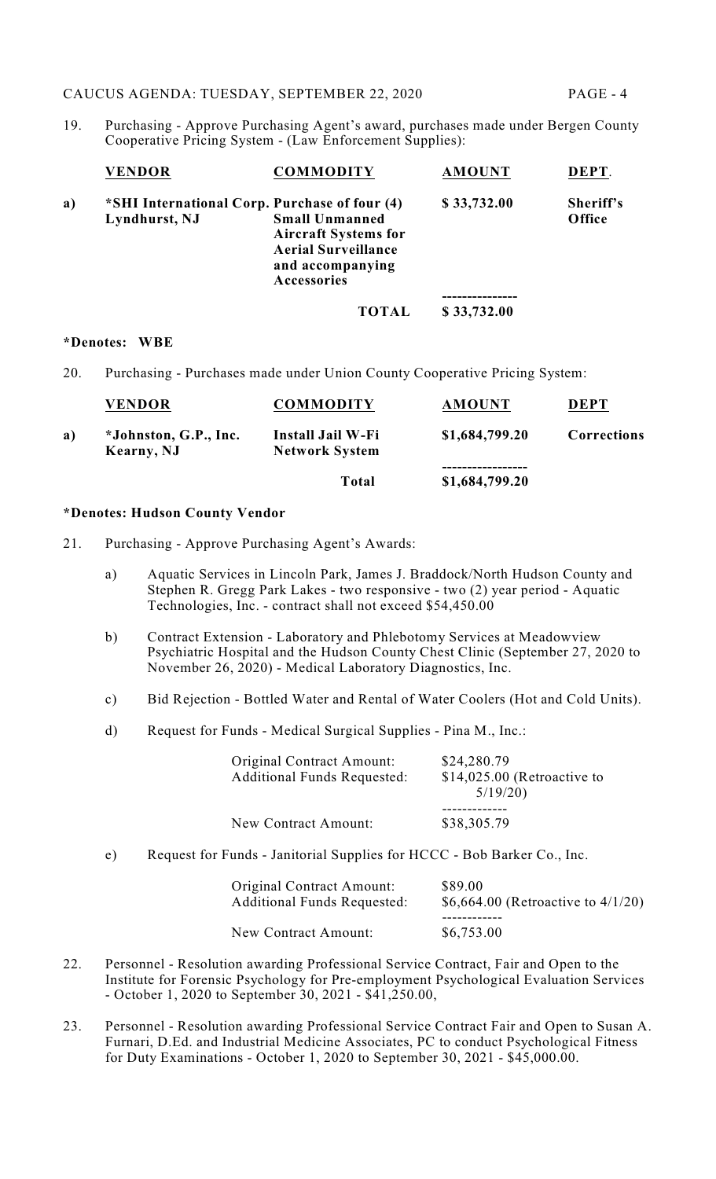19. Purchasing - Approve Purchasing Agent's award, purchases made under Bergen County Cooperative Pricing System - (Law Enforcement Supplies):

|    | <b>VENDOR</b>                                                  | <b>COMMODITY</b>                                                                                                      | <b>AMOUNT</b> | DEPT.               |
|----|----------------------------------------------------------------|-----------------------------------------------------------------------------------------------------------------------|---------------|---------------------|
| a) | *SHI International Corp. Purchase of four (4)<br>Lyndhurst, NJ | <b>Small Unmanned</b><br><b>Aircraft Systems for</b><br><b>Aerial Surveillance</b><br>and accompanying<br>Accessories | \$33,732.00   | Sheriff's<br>Office |
|    |                                                                |                                                                                                                       |               |                     |
|    |                                                                | TOTAL                                                                                                                 | \$33,732.00   |                     |

#### **\*Denotes: WBE**

20. Purchasing - Purchases made under Union County Cooperative Pricing System:

|    | <b>VENDOR</b>                       | <b>COMMODITY</b>                           | <b>AMOUNT</b>  | <b>DEPT</b> |
|----|-------------------------------------|--------------------------------------------|----------------|-------------|
| a) | *Johnston, G.P., Inc.<br>Kearny, NJ | Install Jail W-Fi<br><b>Network System</b> | \$1,684,799.20 | Corrections |
|    |                                     | Total                                      | \$1,684,799.20 |             |

## **\*Denotes: Hudson County Vendor**

- 21. Purchasing Approve Purchasing Agent's Awards:
	- a) Aquatic Services in Lincoln Park, James J. Braddock/North Hudson County and Stephen R. Gregg Park Lakes - two responsive - two (2) year period - Aquatic Technologies, Inc. - contract shall not exceed \$54,450.00
	- b) Contract Extension Laboratory and Phlebotomy Services at Meadowview Psychiatric Hospital and the Hudson County Chest Clinic (September 27, 2020 to November 26, 2020) - Medical Laboratory Diagnostics, Inc.
	- c) Bid Rejection Bottled Water and Rental of Water Coolers (Hot and Cold Units).
	- d) Request for Funds Medical Surgical Supplies Pina M., Inc.:

| Original Contract Amount:<br><b>Additional Funds Requested:</b> | \$24,280.79<br>$$14,025.00$ (Retroactive to<br>5/19/20 |
|-----------------------------------------------------------------|--------------------------------------------------------|
| New Contract Amount:                                            | \$38,305.79                                            |

e) Request for Funds - Janitorial Supplies for HCCC - Bob Barker Co., Inc.

| Original Contract Amount:<br><b>Additional Funds Requested:</b> | \$89.00<br>\$6,664.00 (Retroactive to $4/1/20$ ) |
|-----------------------------------------------------------------|--------------------------------------------------|
| New Contract Amount:                                            | \$6,753.00                                       |

- 22. Personnel Resolution awarding Professional Service Contract, Fair and Open to the Institute for Forensic Psychology for Pre-employment Psychological Evaluation Services - October 1, 2020 to September 30, 2021 - \$41,250.00,
- 23. Personnel Resolution awarding Professional Service Contract Fair and Open to Susan A. Furnari, D.Ed. and Industrial Medicine Associates, PC to conduct Psychological Fitness for Duty Examinations - October 1, 2020 to September 30, 2021 - \$45,000.00.